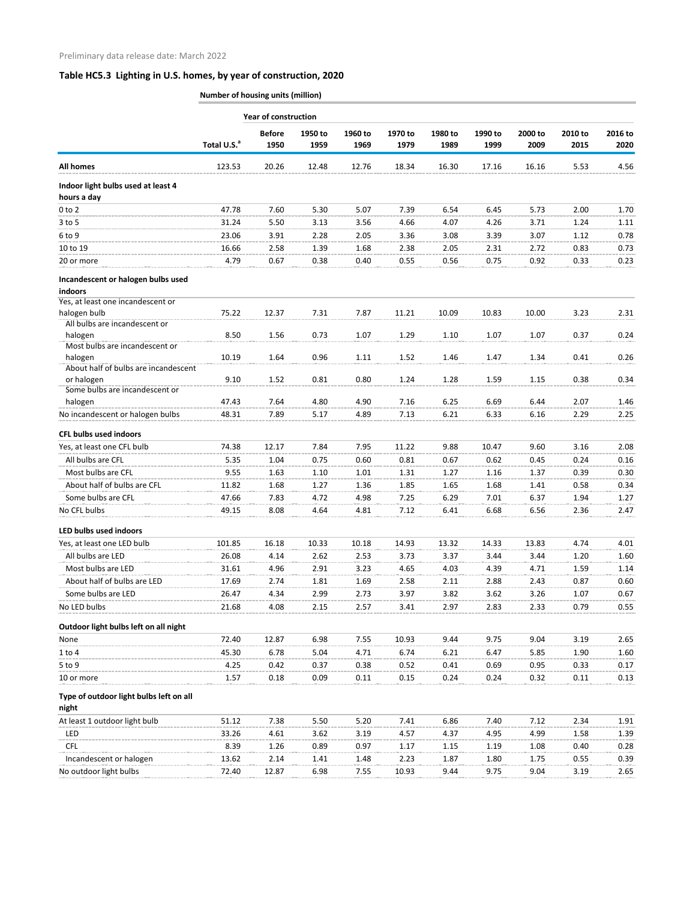## **Table HC5.3 Lighting in U.S. homes, by year of construction, 2020**

**Number of housing units (million)**

|                                                   |                         | <b>Year of construction</b> |                 |                 |                 |                 |                 |                 |                 |                 |
|---------------------------------------------------|-------------------------|-----------------------------|-----------------|-----------------|-----------------|-----------------|-----------------|-----------------|-----------------|-----------------|
|                                                   | Total U.S. <sup>a</sup> | <b>Before</b><br>1950       | 1950 to<br>1959 | 1960 to<br>1969 | 1970 to<br>1979 | 1980 to<br>1989 | 1990 to<br>1999 | 2000 to<br>2009 | 2010 to<br>2015 | 2016 to<br>2020 |
| <b>All homes</b>                                  | 123.53                  | 20.26                       | 12.48           | 12.76           | 18.34           | 16.30           | 17.16           | 16.16           | 5.53            | 4.56            |
| Indoor light bulbs used at least 4<br>hours a day |                         |                             |                 |                 |                 |                 |                 |                 |                 |                 |
| $0$ to $2$                                        | 47.78                   | 7.60                        | 5.30            | 5.07            | 7.39            | 6.54            | 6.45            | 5.73            | 2.00            | 1.70            |
| $3$ to 5                                          | 31.24                   | 5.50                        | 3.13            | 3.56            | 4.66            | 4.07            | 4.26            | 3.71            | 1.24            | 1.11            |
| 6 to 9                                            | 23.06                   | 3.91                        | 2.28            | 2.05            | 3.36            | 3.08            | 3.39            | 3.07            | 1.12            | 0.78            |
| 10 to 19                                          | 16.66                   | 2.58                        | 1.39            | 1.68            | 2.38            | 2.05            | 2.31            | 2.72            | 0.83            | 0.73            |
| 20 or more                                        | 4.79                    | 0.67                        | 0.38            | 0.40            | 0.55            | 0.56            | 0.75            | 0.92            | 0.33            | 0.23            |
|                                                   |                         |                             |                 |                 |                 |                 |                 |                 |                 |                 |
| Incandescent or halogen bulbs used<br>indoors     |                         |                             |                 |                 |                 |                 |                 |                 |                 |                 |
| Yes, at least one incandescent or                 |                         |                             |                 |                 |                 |                 |                 |                 |                 |                 |
| halogen bulb                                      | 75.22                   | 12.37                       | 7.31            | 7.87            | 11.21           | 10.09           | 10.83           | 10.00           | 3.23            | 2.31            |
| All bulbs are incandescent or                     |                         |                             |                 |                 |                 |                 |                 |                 |                 |                 |
| halogen                                           | 8.50                    | 1.56                        | 0.73            | 1.07            | 1.29            | 1.10            | 1.07            | 1.07            | 0.37            | 0.24            |
| Most bulbs are incandescent or                    |                         |                             |                 |                 |                 |                 |                 |                 |                 |                 |
| halogen                                           | 10.19                   | 1.64                        | 0.96            | 1.11            | 1.52            | 1.46            | 1.47            | 1.34            | 0.41            | 0.26            |
| About half of bulbs are incandescent              |                         |                             |                 |                 |                 |                 |                 |                 |                 |                 |
| or halogen                                        | 9.10                    | 1.52                        | 0.81            | 0.80            | 1.24            | 1.28            | 1.59            | 1.15            | 0.38            | 0.34            |
| Some bulbs are incandescent or                    |                         |                             |                 |                 |                 |                 |                 |                 |                 |                 |
| halogen                                           | 47.43                   | 7.64                        | 4.80            | 4.90            | 7.16            | 6.25            | 6.69            | 6.44            | 2.07            | 1.46            |
| No incandescent or halogen bulbs                  | 48.31                   | 7.89                        | 5.17            | 4.89            | 7.13            | 6.21            | 6.33            | 6.16            | 2.29            | 2.25            |
| <b>CFL bulbs used indoors</b>                     |                         |                             |                 |                 |                 |                 |                 |                 |                 |                 |
| Yes, at least one CFL bulb                        | 74.38                   | 12.17                       | 7.84            | 7.95            | 11.22           | 9.88            | 10.47           | 9.60            | 3.16            | 2.08            |
| All bulbs are CFL                                 | 5.35                    | 1.04                        | 0.75            | 0.60            | 0.81            | 0.67            | 0.62            | 0.45            | 0.24            | 0.16            |
| Most bulbs are CFL                                | 9.55                    | 1.63                        | 1.10            | 1.01            | 1.31            | 1.27            | 1.16            | 1.37            | 0.39            | 0.30            |
| About half of bulbs are CFL                       | 11.82                   | 1.68                        | 1.27            | 1.36            | 1.85            | 1.65            | 1.68            | 1.41            | 0.58            | 0.34            |
|                                                   | 47.66                   | 7.83                        | 4.72            | 4.98            | 7.25            | 6.29            | 7.01            | 6.37            | 1.94            | 1.27            |
| No CFL bulbs                                      | 49.15                   | 8.08                        | 4.64            | 4.81            | 7.12            | 6.41            | 6.68            | 6.56            | 2.36            | 2.47            |
| LED bulbs used indoors                            |                         |                             |                 |                 |                 |                 |                 |                 |                 |                 |
| Yes, at least one LED bulb                        | 101.85                  | 16.18                       | 10.33           | 10.18           | 14.93           | 13.32           | 14.33           | 13.83           | 4.74            | 4.01            |
| All bulbs are LED                                 | 26.08                   | 4.14                        | 2.62            | 2.53            | 3.73            | 3.37            | 3.44            | 3.44            | 1.20            | 1.60            |
| Most bulbs are LED                                | 31.61                   | 4.96                        | 2.91            | 3.23            | 4.65            | 4.03            | 4.39            | 4.71            | 1.59            | 1.14            |
| About half of bulbs are LED                       | 17.69                   | 2.74                        | 1.81            | 1.69            | 2.58            | 2.11            | 2.88            | 2.43            | 0.87            | 0.60            |
| Some bulbs are LED                                | 26.47                   | 4.34                        | 2.99            | 2.73            | 3.97            | 3.82            | 3.62            | 3.26            | 1.07            | 0.67            |
| No LED bulbs                                      | 21.68                   | 4.08                        | 2.15            | 2.57            | 3.41            | 2.97            | 2.83            | 2.33            | 0.79            | 0.55            |
|                                                   |                         |                             |                 |                 |                 |                 |                 |                 |                 |                 |
| Outdoor light bulbs left on all night             |                         |                             |                 |                 |                 |                 |                 |                 |                 |                 |
| None                                              | 72.40                   | 12.87                       | 6.98            | 7.55            | 10.93           | 9.44            | 9.75            | 9.04            | 3.19            | 2.65            |
| $1$ to $4$                                        | 45.30                   | 6.78                        | 5.04            | 4.71            | 6.74            | 6.21            | 6.47            | 5.85            | 1.90            | 1.60            |
| $5$ to $9$                                        | 4.25                    | 0.42                        | 0.37            | 0.38            | 0.52            | 0.41            | 0.69            | 0.95            | 0.33            | 0.17            |
| 10 or more                                        | 1.57                    | 0.18                        | 0.09            | 0.11            | 0.15            | 0.24            | 0.24            | 0.32            | 0.11            | 0.13            |
| Type of outdoor light bulbs left on all<br>night  |                         |                             |                 |                 |                 |                 |                 |                 |                 |                 |
| At least 1 outdoor light bulb                     | 51.12                   | 7.38                        | 5.50            | 5.20            | 7.41            | 6.86            | 7.40            | 7.12            | 2.34            | 1.91            |
| LED                                               | 33.26                   | 4.61                        | 3.62            | 3.19            | 4.57            | 4.37            | 4.95            | 4.99            | 1.58            | 1.39            |
| <b>CFL</b>                                        | 8.39                    | 1.26                        | 0.89            | 0.97            | 1.17            | 1.15            | 1.19            | 1.08            | 0.40            | 0.28            |
| Incandescent or halogen                           | 13.62                   | 2.14                        | 1.41            | 1.48            | 2.23            | 1.87            | 1.80            | 1.75            | 0.55            | 0.39            |
| No outdoor light bulbs                            | 72.40                   | 12.87                       | 6.98            | 7.55            | 10.93           | 9.44            | 9.75            | 9.04            | 3.19            | 2.65            |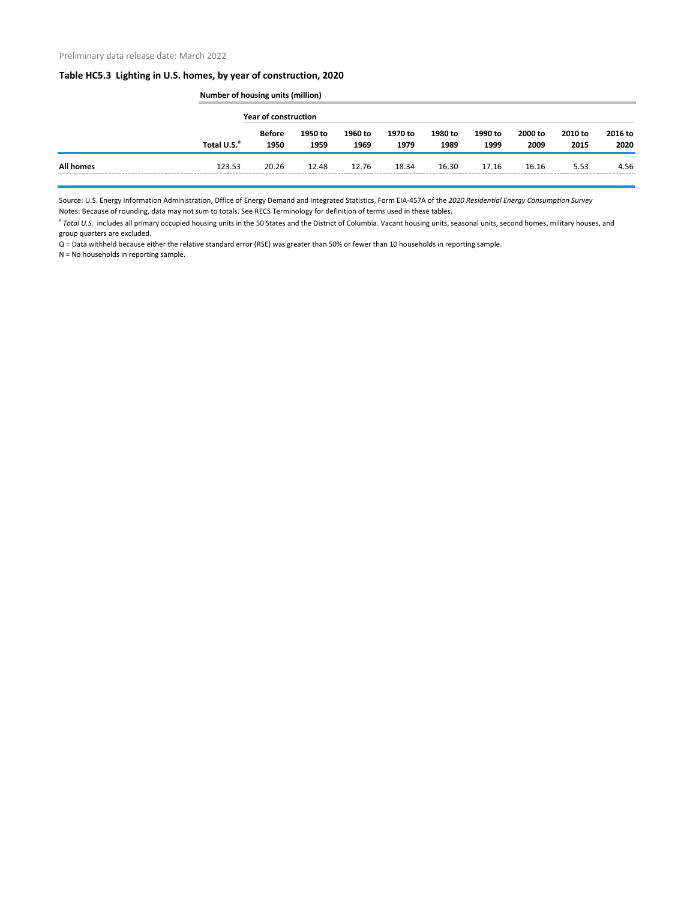## **Table HC5.3 Lighting in U.S. homes, by year of construction, 2020**

|                  |                         | <b>Number of housing units (million)</b> |                 |                 |                 |                 |                 |                 |                 |                 |  |
|------------------|-------------------------|------------------------------------------|-----------------|-----------------|-----------------|-----------------|-----------------|-----------------|-----------------|-----------------|--|
|                  |                         | <b>Year of construction</b>              |                 |                 |                 |                 |                 |                 |                 |                 |  |
|                  | Total U.S. <sup>a</sup> | Before<br>1950                           | 1950 to<br>1959 | 1960 to<br>1969 | 1970 to<br>1979 | 1980 to<br>1989 | 1990 to<br>1999 | 2000 to<br>2009 | 2010 to<br>2015 | 2016 to<br>2020 |  |
| <b>All homes</b> | 123.53                  | 20.26                                    | 12.48           | 12.76           | 18.34           | 16.30           | 17.16           | 16.16           | 5.53            | 4.56            |  |

Source: U.S. Energy Information Administration, Office of Energy Demand and Integrated Statistics, Form EIA-457A of the *2020 Residential Energy Consumption Survey* Notes: Because of rounding, data may not sum to totals. See RECS Terminology for definition of terms used in these tables.

<sup>a</sup> Total U.S. includes all primary occupied housing units in the 50 States and the District of Columbia. Vacant housing units, seasonal units, second homes, military houses, and group quarters are excluded.

Q = Data withheld because either the relative standard error (RSE) was greater than 50% or fewer than 10 households in reporting sample.

N = No households in reporting sample.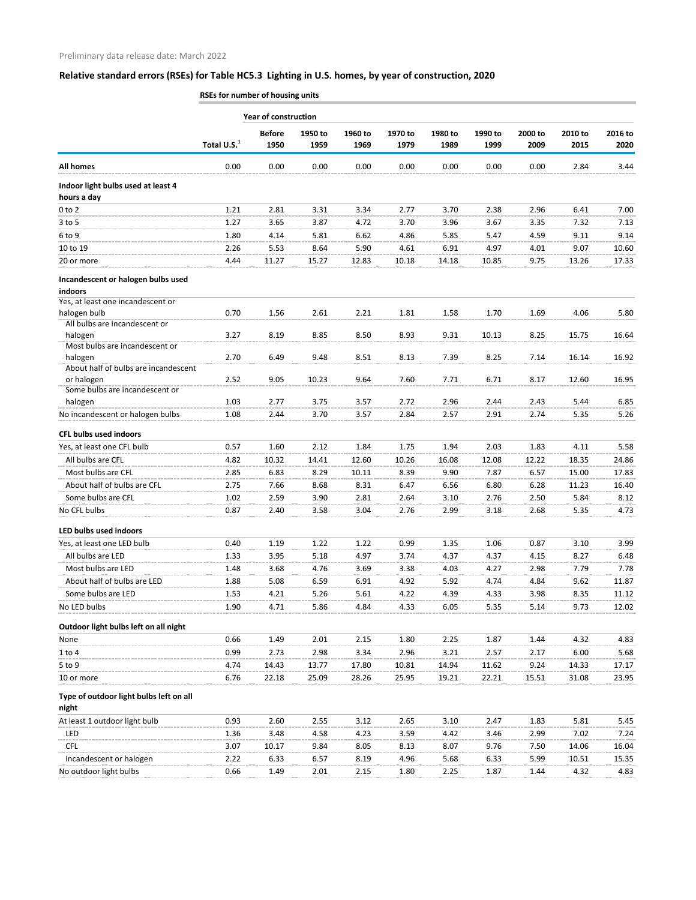## **Relative standard errors (RSEs) for Table HC5.3 Lighting in U.S. homes, by year of construction, 2020**

**RSEs for number of housing units**

|                                                   |                         | <b>Year of construction</b> |                 |                 |                 |                 |                 |                 |                 |                 |
|---------------------------------------------------|-------------------------|-----------------------------|-----------------|-----------------|-----------------|-----------------|-----------------|-----------------|-----------------|-----------------|
|                                                   | Total U.S. <sup>1</sup> | <b>Before</b><br>1950       | 1950 to<br>1959 | 1960 to<br>1969 | 1970 to<br>1979 | 1980 to<br>1989 | 1990 to<br>1999 | 2000 to<br>2009 | 2010 to<br>2015 | 2016 to<br>2020 |
| <b>All homes</b>                                  | 0.00                    | 0.00                        | 0.00            | 0.00            | 0.00            | 0.00            | 0.00            | 0.00            | 2.84            | 3.44            |
| Indoor light bulbs used at least 4<br>hours a day |                         |                             |                 |                 |                 |                 |                 |                 |                 |                 |
| $0$ to $2$                                        | 1.21                    | 2.81                        | 3.31            | 3.34            | 2.77            | 3.70            | 2.38            | 2.96            | 6.41            | 7.00            |
| $3$ to 5                                          | 1.27                    | 3.65                        | 3.87            | 4.72            | 3.70            | 3.96            | 3.67            | 3.35            | 7.32            | 7.13            |
| 6 to 9                                            | 1.80                    | 4.14                        | 5.81            | 6.62            | 4.86            | 5.85            | 5.47            | 4.59            | 9.11            | 9.14            |
| 10 to 19                                          | 2.26                    | 5.53                        | 8.64            | 5.90            | 4.61            | 6.91            | 4.97            | 4.01            | 9.07            | 10.60           |
| 20 or more                                        | 4.44                    | 11.27                       | 15.27           | 12.83           | 10.18           | 14.18           | 10.85           | 9.75            | 13.26           | 17.33           |
|                                                   |                         |                             |                 |                 |                 |                 |                 |                 |                 |                 |
| Incandescent or halogen bulbs used                |                         |                             |                 |                 |                 |                 |                 |                 |                 |                 |
| indoors                                           |                         |                             |                 |                 |                 |                 |                 |                 |                 |                 |
| Yes, at least one incandescent or<br>halogen bulb | 0.70                    | 1.56                        | 2.61            | 2.21            | 1.81            | 1.58            | 1.70            | 1.69            | 4.06            | 5.80            |
| All bulbs are incandescent or                     |                         |                             |                 |                 |                 |                 |                 |                 |                 |                 |
| halogen                                           | 3.27                    | 8.19                        | 8.85            | 8.50            | 8.93            | 9.31            | 10.13           | 8.25            | 15.75           | 16.64           |
| Most bulbs are incandescent or                    |                         |                             |                 |                 |                 |                 |                 |                 |                 |                 |
| halogen                                           | 2.70                    | 6.49                        | 9.48            | 8.51            | 8.13            | 7.39            | 8.25            | 7.14            | 16.14           | 16.92           |
| About half of bulbs are incandescent              |                         |                             |                 |                 |                 |                 |                 |                 |                 |                 |
| or halogen                                        | 2.52                    | 9.05                        | 10.23           | 9.64            | 7.60            | 7.71            | 6.71            | 8.17            | 12.60           | 16.95           |
| Some bulbs are incandescent or                    |                         |                             |                 |                 |                 |                 |                 |                 |                 |                 |
| halogen                                           | 1.03                    | 2.77                        | 3.75            | 3.57            | 2.72            | 2.96            | 2.44            | 2.43            | 5.44            | 6.85            |
| No incandescent or halogen bulbs                  | 1.08                    | 2.44                        | 3.70            | 3.57            | 2.84            | 2.57            | 2.91            | 2.74            | 5.35            | 5.26            |
| <b>CFL bulbs used indoors</b>                     |                         |                             |                 |                 |                 |                 |                 |                 |                 |                 |
| Yes, at least one CFL bulb                        | 0.57                    | 1.60                        | 2.12            | 1.84            | 1.75            | 1.94            | 2.03            | 1.83            | 4.11            | 5.58            |
| All bulbs are CFL                                 | 4.82                    | 10.32                       | 14.41           | 12.60           | 10.26           | 16.08           | 12.08           | 12.22           | 18.35           | 24.86           |
| Most bulbs are CFL                                | 2.85                    | 6.83                        | 8.29            | 10.11           | 8.39            | 9.90            | 7.87            | 6.57            | 15.00           | 17.83           |
| About half of bulbs are CFL                       | 2.75                    | 7.66                        | 8.68            | 8.31            | 6.47            | 6.56            | 6.80            | 6.28            | 11.23           | 16.40           |
| Some bulbs are CFL                                | 1.02                    | 2.59                        | 3.90            | 2.81            | 2.64            | 3.10            | 2.76            | 2.50            | 5.84            | 8.12            |
| No CFL bulbs                                      | 0.87                    | 2.40                        | 3.58            | 3.04            | 2.76            | 2.99            | 3.18            | 2.68            | 5.35            | 4.73            |
| LED bulbs used indoors                            |                         |                             |                 |                 |                 |                 |                 |                 |                 |                 |
| Yes, at least one LED bulb                        | 0.40                    | 1.19                        | 1.22            | 1.22            | 0.99            | 1.35            | 1.06            | 0.87            | 3.10            | 3.99            |
| All bulbs are LED                                 |                         | 3.95                        | 5.18            | 4.97            | 3.74            | 4.37            | 4.37            | 4.15            | 8.27            | 6.48            |
| Most bulbs are LED                                | 1.33                    |                             | 4.76            |                 |                 |                 |                 |                 |                 |                 |
|                                                   | 1.48                    | 3.68                        |                 | 3.69            | 3.38            | 4.03            | 4.27            | 2.98            | 7.79            | 7.78            |
| About half of bulbs are LED                       | 1.88                    | 5.08                        | 6.59            | 6.91            | 4.92            | 5.92            | 4.74            | 4.84            | 9.62            | 11.87           |
| Some bulbs are LED                                | 1.53                    | 4.21                        | 5.26            | 5.61            | 4.22            | 4.39            | 4.33            | 3.98            | 8.35            | 11.12           |
| No LED bulbs                                      | 1.90                    | 4.71                        | 5.86            | 4.84            | 4.33            | 6.05            | 5.35            | 5.14            | 9.73            | 12.02           |
| Outdoor light bulbs left on all night             |                         |                             |                 |                 |                 |                 |                 |                 |                 |                 |
| None                                              | 0.66                    | 1.49                        | 2.01            | 2.15            | 1.80            | 2.25            | 1.87            | 1.44            | 4.32            | 4.83            |
| 1 to 4                                            | 0.99                    | 2.73                        | 2.98            | 3.34            | 2.96            | 3.21            | 2.57            | 2.17            | 6.00            | 5.68            |
| 5 to 9                                            | 4.74                    | 14.43                       | 13.77           | 17.80           | 10.81           | 14.94           | 11.62           | 9.24            | 14.33           | 17.17           |
| 10 or more                                        | 6.76                    | 22.18                       | 25.09           | 28.26           | 25.95           | 19.21           | 22.21           | 15.51           | 31.08           | 23.95           |
| Type of outdoor light bulbs left on all<br>night  |                         |                             |                 |                 |                 |                 |                 |                 |                 |                 |
| At least 1 outdoor light bulb                     | 0.93                    | 2.60                        | 2.55            | 3.12            | 2.65            | 3.10            | 2.47            | 1.83            | 5.81            | 5.45            |
| LED                                               | 1.36                    | 3.48                        | 4.58            | 4.23            | 3.59            | 4.42            | 3.46            | 2.99            | 7.02            | 7.24            |
| <b>CFL</b>                                        | 3.07                    | 10.17                       | 9.84            | 8.05            | 8.13            | 8.07            | 9.76            | 7.50            | 14.06           | 16.04           |
| Incandescent or halogen                           | 2.22                    | 6.33                        | 6.57            | 8.19            | 4.96            | 5.68            | 6.33            | 5.99            | 10.51           | 15.35           |
| No outdoor light bulbs                            | 0.66                    | 1.49                        | 2.01            | 2.15            | 1.80            | 2.25            | 1.87            | 1.44            | 4.32            | 4.83            |